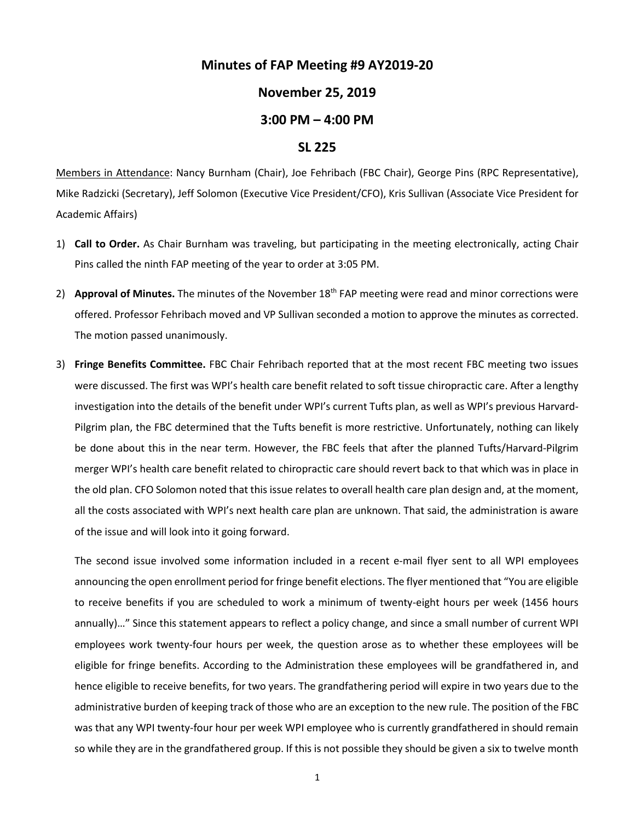## **Minutes of FAP Meeting #9 AY2019-20**

## **November 25, 2019**

## **3:00 PM – 4:00 PM**

## **SL 225**

Members in Attendance: Nancy Burnham (Chair), Joe Fehribach (FBC Chair), George Pins (RPC Representative), Mike Radzicki (Secretary), Jeff Solomon (Executive Vice President/CFO), Kris Sullivan (Associate Vice President for Academic Affairs)

- 1) **Call to Order.** As Chair Burnham was traveling, but participating in the meeting electronically, acting Chair Pins called the ninth FAP meeting of the year to order at 3:05 PM.
- 2) **Approval of Minutes.** The minutes of the November 18<sup>th</sup> FAP meeting were read and minor corrections were offered. Professor Fehribach moved and VP Sullivan seconded a motion to approve the minutes as corrected. The motion passed unanimously.
- 3) **Fringe Benefits Committee.** FBC Chair Fehribach reported that at the most recent FBC meeting two issues were discussed. The first was WPI's health care benefit related to soft tissue chiropractic care. After a lengthy investigation into the details of the benefit under WPI's current Tufts plan, as well as WPI's previous Harvard-Pilgrim plan, the FBC determined that the Tufts benefit is more restrictive. Unfortunately, nothing can likely be done about this in the near term. However, the FBC feels that after the planned Tufts/Harvard-Pilgrim merger WPI's health care benefit related to chiropractic care should revert back to that which was in place in the old plan. CFO Solomon noted that this issue relates to overall health care plan design and, at the moment, all the costs associated with WPI's next health care plan are unknown. That said, the administration is aware of the issue and will look into it going forward.

The second issue involved some information included in a recent e-mail flyer sent to all WPI employees announcing the open enrollment period for fringe benefit elections. The flyer mentioned that "You are eligible to receive benefits if you are scheduled to work a minimum of twenty-eight hours per week (1456 hours annually)…" Since this statement appears to reflect a policy change, and since a small number of current WPI employees work twenty-four hours per week, the question arose as to whether these employees will be eligible for fringe benefits. According to the Administration these employees will be grandfathered in, and hence eligible to receive benefits, for two years. The grandfathering period will expire in two years due to the administrative burden of keeping track of those who are an exception to the new rule. The position of the FBC was that any WPI twenty-four hour per week WPI employee who is currently grandfathered in should remain so while they are in the grandfathered group. If this is not possible they should be given a six to twelve month